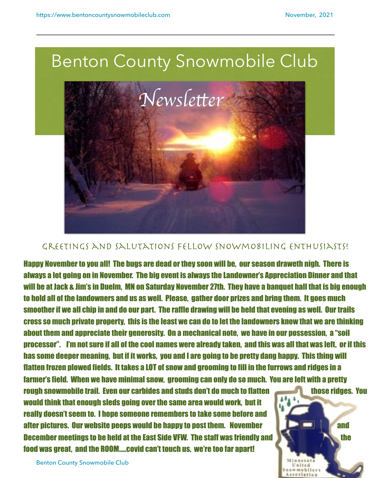

## GREETINGS AND SALUTATIONS FELLOW SNOWMOBILING ENTHUSIASTS!

Happy November to you all! The bugs are dead or they soon will be, our season draweth nigh. There is always a lot going on in November. The big event is always the Landowner's Appreciation Dinner and that will be at Jack & Jim's in Duelm, MN on Saturday November 27th. They have a banquet hall that is big enough to hold all of the landowners and us as well. Please, gather door prizes and bring them. It goes much smoother if we all chip in and do our part. The raffle drawing will be held that evening as well. Our trails cross so much private property, this is the least we can do to let the landowners know that we are thinking about them and appreciate their generosity. On a mechanical note, we have in our possession, a "soil processor". I'm not sure if all of the cool names were already taken, and this was all that was left, or if this has some deeper meaning, but if it works, you and I are going to be pretty dang happy. This thing will flatten frozen plowed fields. It takes a LOT of snow and grooming to fill in the furrows and ridges in a farmer's field. When we have minimal snow, grooming can only do so much. You are left with a pretty

rough snowmobile trail. Even our carbides and studs don't do much to flatten those ridges. You would think that enough sleds going over the same area would work, but it really doesn't seem to. I hope someone remembers to take some before and after pictures. Our website peeps would be happy to post them. November **and the strong and** and December meetings to be held at the East Side VFW. The staff was friendly and the the the the food was great, and the ROOM…..covid can't touch us, we're too far apart!



Benton County Snowmobile Club 1